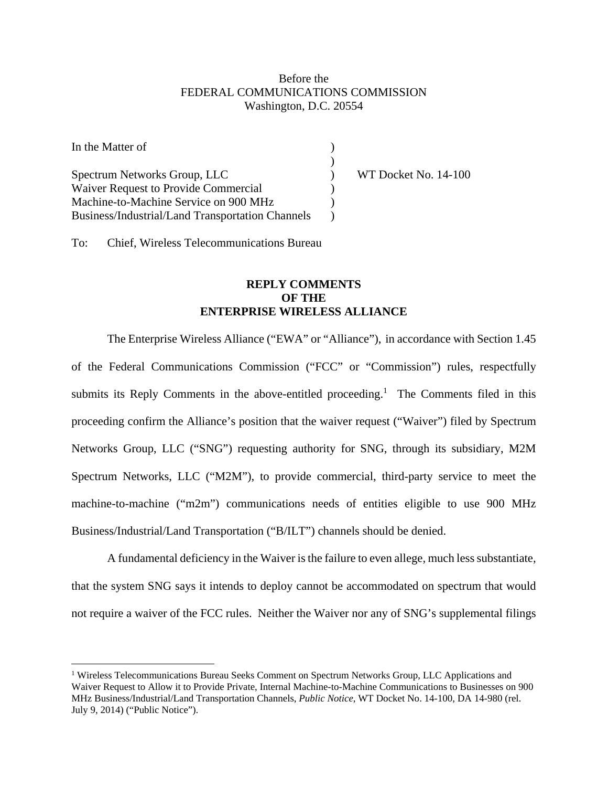## Before the FEDERAL COMMUNICATIONS COMMISSION Washington, D.C. 20554

| In the Matter of                                 |                      |
|--------------------------------------------------|----------------------|
|                                                  |                      |
| Spectrum Networks Group, LLC                     | WT Docket No. 14-100 |
| <b>Waiver Request to Provide Commercial</b>      |                      |
| Machine-to-Machine Service on 900 MHz            |                      |
| Business/Industrial/Land Transportation Channels |                      |

To: Chief, Wireless Telecommunications Bureau

 $\overline{a}$ 

## **REPLY COMMENTS OF THE ENTERPRISE WIRELESS ALLIANCE**

The Enterprise Wireless Alliance ("EWA" or "Alliance"), in accordance with Section 1.45 of the Federal Communications Commission ("FCC" or "Commission") rules, respectfully submits its Reply Comments in the above-entitled proceeding.<sup>1</sup> The Comments filed in this proceeding confirm the Alliance's position that the waiver request ("Waiver") filed by Spectrum Networks Group, LLC ("SNG") requesting authority for SNG, through its subsidiary, M2M Spectrum Networks, LLC ("M2M"), to provide commercial, third-party service to meet the machine-to-machine ("m2m") communications needs of entities eligible to use 900 MHz Business/Industrial/Land Transportation ("B/ILT") channels should be denied.

A fundamental deficiency in the Waiver is the failure to even allege, much less substantiate, that the system SNG says it intends to deploy cannot be accommodated on spectrum that would not require a waiver of the FCC rules. Neither the Waiver nor any of SNG's supplemental filings

<sup>&</sup>lt;sup>1</sup> Wireless Telecommunications Bureau Seeks Comment on Spectrum Networks Group, LLC Applications and Waiver Request to Allow it to Provide Private, Internal Machine-to-Machine Communications to Businesses on 900 MHz Business/Industrial/Land Transportation Channels, *Public Notice*, WT Docket No. 14-100, DA 14-980 (rel. July 9, 2014) ("Public Notice").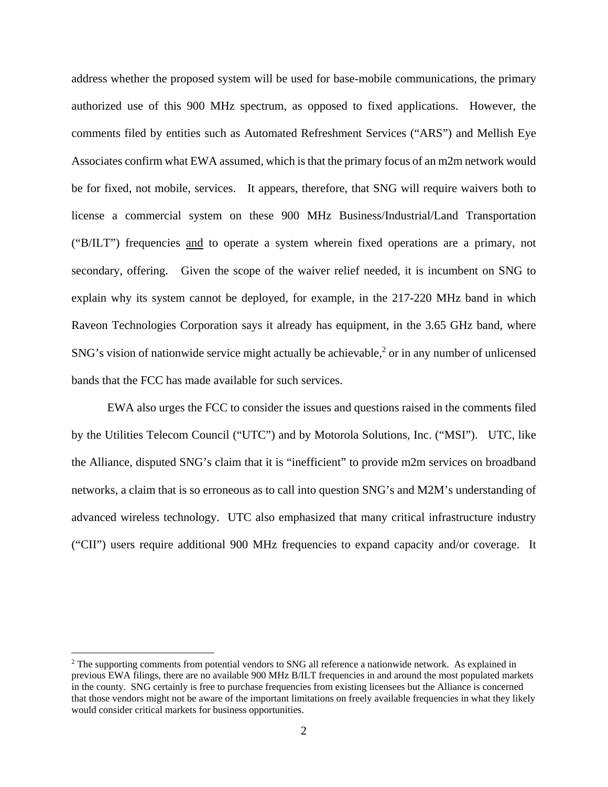address whether the proposed system will be used for base-mobile communications, the primary authorized use of this 900 MHz spectrum, as opposed to fixed applications. However, the comments filed by entities such as Automated Refreshment Services ("ARS") and Mellish Eye Associates confirm what EWA assumed, which is that the primary focus of an m2m network would be for fixed, not mobile, services. It appears, therefore, that SNG will require waivers both to license a commercial system on these 900 MHz Business/Industrial/Land Transportation ("B/ILT") frequencies and to operate a system wherein fixed operations are a primary, not secondary, offering. Given the scope of the waiver relief needed, it is incumbent on SNG to explain why its system cannot be deployed, for example, in the 217-220 MHz band in which Raveon Technologies Corporation says it already has equipment, in the 3.65 GHz band, where SNG's vision of nationwide service might actually be achievable, $2$  or in any number of unlicensed bands that the FCC has made available for such services.

EWA also urges the FCC to consider the issues and questions raised in the comments filed by the Utilities Telecom Council ("UTC") and by Motorola Solutions, Inc. ("MSI"). UTC, like the Alliance, disputed SNG's claim that it is "inefficient" to provide m2m services on broadband networks, a claim that is so erroneous as to call into question SNG's and M2M's understanding of advanced wireless technology. UTC also emphasized that many critical infrastructure industry ("CII") users require additional 900 MHz frequencies to expand capacity and/or coverage. It

 $\overline{a}$ 

<sup>&</sup>lt;sup>2</sup> The supporting comments from potential vendors to SNG all reference a nationwide network. As explained in previous EWA filings, there are no available 900 MHz B/ILT frequencies in and around the most populated markets in the county. SNG certainly is free to purchase frequencies from existing licensees but the Alliance is concerned that those vendors might not be aware of the important limitations on freely available frequencies in what they likely would consider critical markets for business opportunities.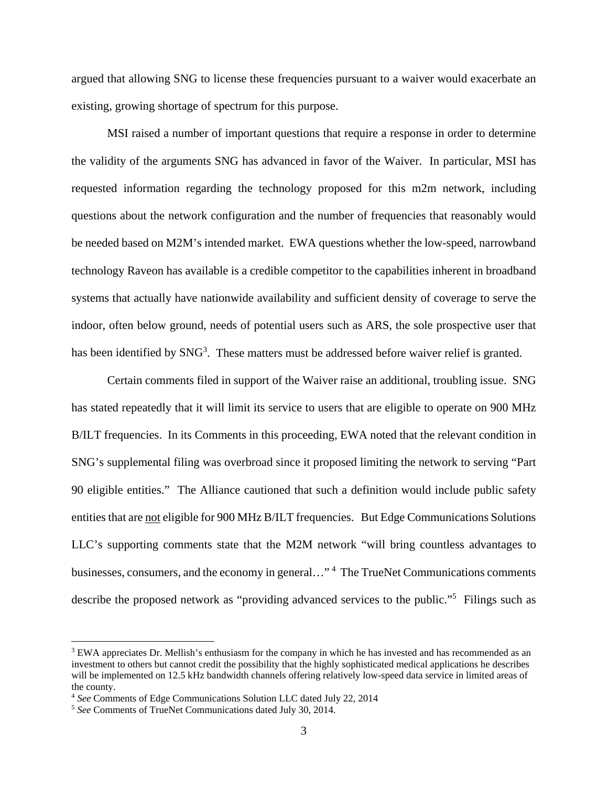argued that allowing SNG to license these frequencies pursuant to a waiver would exacerbate an existing, growing shortage of spectrum for this purpose.

MSI raised a number of important questions that require a response in order to determine the validity of the arguments SNG has advanced in favor of the Waiver. In particular, MSI has requested information regarding the technology proposed for this m2m network, including questions about the network configuration and the number of frequencies that reasonably would be needed based on M2M's intended market. EWA questions whether the low-speed, narrowband technology Raveon has available is a credible competitor to the capabilities inherent in broadband systems that actually have nationwide availability and sufficient density of coverage to serve the indoor, often below ground, needs of potential users such as ARS, the sole prospective user that has been identified by SNG<sup>3</sup>. These matters must be addressed before waiver relief is granted.

Certain comments filed in support of the Waiver raise an additional, troubling issue. SNG has stated repeatedly that it will limit its service to users that are eligible to operate on 900 MHz B/ILT frequencies. In its Comments in this proceeding, EWA noted that the relevant condition in SNG's supplemental filing was overbroad since it proposed limiting the network to serving "Part 90 eligible entities." The Alliance cautioned that such a definition would include public safety entities that are not eligible for 900 MHz B/ILT frequencies. But Edge Communications Solutions LLC's supporting comments state that the M2M network "will bring countless advantages to businesses, consumers, and the economy in general..."<sup>4</sup> The TrueNet Communications comments describe the proposed network as "providing advanced services to the public."<sup>5</sup> Filings such as

 $\overline{a}$ 

<sup>&</sup>lt;sup>3</sup> EWA appreciates Dr. Mellish's enthusiasm for the company in which he has invested and has recommended as an investment to others but cannot credit the possibility that the highly sophisticated medical applications he describes will be implemented on 12.5 kHz bandwidth channels offering relatively low-speed data service in limited areas of the county.

<sup>4</sup> *See* Comments of Edge Communications Solution LLC dated July 22, 2014 5 *See* Comments of TrueNet Communications dated July 30, 2014.